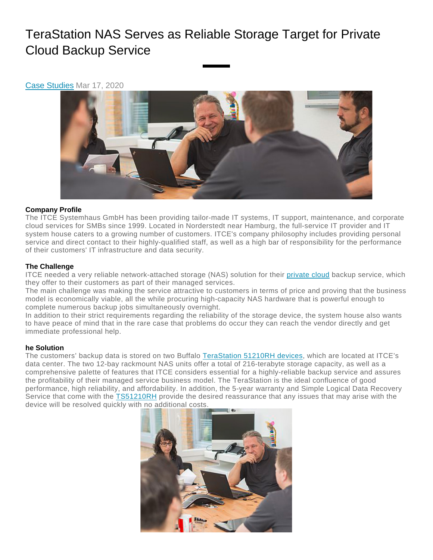# TeraStation NAS Serves as Reliable Storage Target for Private Cloud Backup Service

Case [Studies](https://www.buffalotech.com/resources/category/case-studies) Mar 17, 2020



## **Company Profile**

The ITCE Systemhaus GmbH has been providing tailor-made IT systems, IT support, maintenance, and corporate cloud services for SMBs since 1999. Located in Norderstedt near Hamburg, the full-service IT provider and IT system house caters to a growing number of customers. ITCE's company philosophy includes providing personal service and direct contact to their highly-qualified staff, as well as a high bar of responsibility for the performance of their customers' IT infrastructure and data security.

## **The Challenge**

ITCE needed a very reliable network-attached storage (NAS) solution for their [private](https://www.buffalotech.com/resources/private-cloud-solution) cloud backup service, which they offer to their customers as part of their managed services.

The main challenge was making the service attractive to customers in terms of price and proving that the business model is economically viable, all the while procuring high-capacity NAS hardware that is powerful enough to complete numerous backup jobs simultaneously overnight.

In addition to their strict requirements regarding the reliability of the storage device, the system house also wants to have peace of mind that in the rare case that problems do occur they can reach the vendor directly and get immediate professional help.

#### **he Solution**

The customers' backup data is stored on two Buffalo [TeraStation](https://www.buffalotech.com/products/terastation-5010-series-rackmount) 51210RH devices, which are located at ITCE's data center. The two 12-bay rackmount NAS units offer a total of 216-terabyte storage capacity, as well as a comprehensive palette of features that ITCE considers essential for a highly-reliable backup service and assures the profitability of their managed service business model. The TeraStation is the ideal confluence of good performance, high reliability, and affordability. In addition, the 5-year warranty and Simple Logical Data Recovery Service that come with the [TS51210RH](https://www.buffalotech.com/products/terastation-5010-series-rackmount) provide the desired reassurance that any issues that may arise with the device will be resolved quickly with no additional costs.

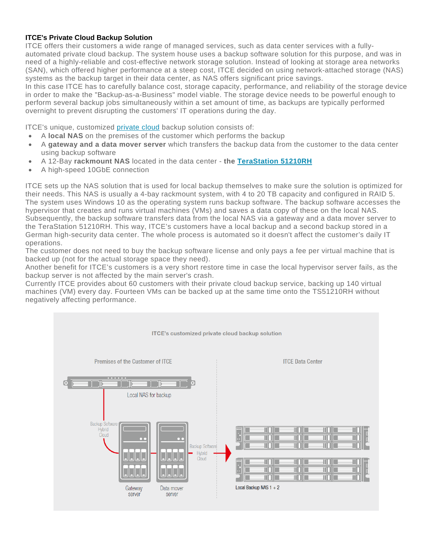### **ITCE's Private Cloud Backup Solution**

ITCE offers their customers a wide range of managed services, such as data center services with a fullyautomated private cloud backup. The system house uses a backup software solution for this purpose, and was in need of a highly-reliable and cost-effective network storage solution. Instead of looking at storage area networks (SAN), which offered higher performance at a steep cost, ITCE decided on using network-attached storage (NAS) systems as the backup target in their data center, as NAS offers significant price savings.

In this case ITCE has to carefully balance cost, storage capacity, performance, and reliability of the storage device in order to make the "Backup-as-a-Business" model viable. The storage device needs to be powerful enough to perform several backup jobs simultaneously within a set amount of time, as backups are typically performed overnight to prevent disrupting the customers' IT operations during the day.

ITCE's unique, customized [private](https://www.buffalotech.com/resources/private-cloud-solution) cloud backup solution consists of:

- A **local NAS** on the premises of the customer which performs the backup
- A **gateway and a data mover server** which transfers the backup data from the customer to the data center using backup software
- A 12-Bay **rackmount NAS** located in the data center **the [TeraStation](https://www.buffalotech.com/products/terastation-5010-series-rackmount) 51210RH**
- A high-speed 10GbE connection

ITCE sets up the NAS solution that is used for local backup themselves to make sure the solution is optimized for their needs. This NAS is usually a 4-bay rackmount system, with 4 to 20 TB capacity and configured in RAID 5. The system uses Windows 10 as the operating system runs backup software. The backup software accesses the hypervisor that creates and runs virtual machines (VMs) and saves a data copy of these on the local NAS. Subsequently, the backup software transfers data from the local NAS via a gateway and a data mover server to the TeraStation 51210RH. This way, ITCE's customers have a local backup and a second backup stored in a German high-security data center. The whole process is automated so it doesn't affect the customer's daily IT operations.

The customer does not need to buy the backup software license and only pays a fee per virtual machine that is backed up (not for the actual storage space they need).

Another benefit for ITCE's customers is a very short restore time in case the local hypervisor server fails, as the backup server is not affected by the main server's crash.

Currently ITCE provides about 60 customers with their private cloud backup service, backing up 140 virtual machines (VM) every day. Fourteen VMs can be backed up at the same time onto the TS51210RH without negatively affecting performance.